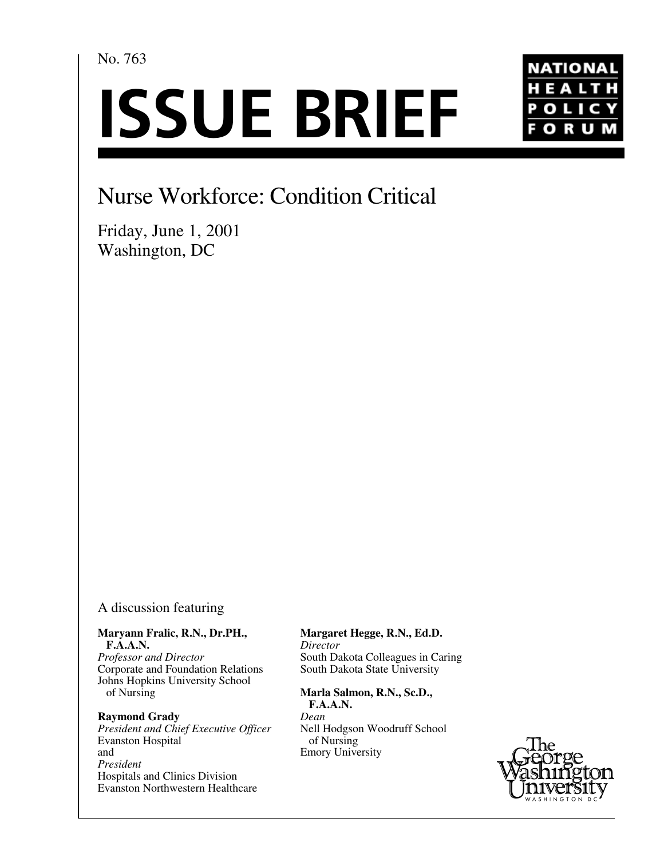No. 763

# **ISSUE BRIEF**



## Nurse Workforce: Condition Critical

Friday, June 1, 2001 Washington, DC

#### A discussion featuring

**Maryann Fralic, R.N., Dr.PH., F.A.A.N.** *Professor and Director*

Corporate and Foundation Relations Johns Hopkins University School of Nursing

#### **Raymond Grady**

*President and Chief Executive Officer* Evanston Hospital and *President* Hospitals and Clinics Division Evanston Northwestern Healthcare

**Margaret Hegge, R.N., Ed.D.** *Director* South Dakota Colleagues in Caring South Dakota State University

**Marla Salmon, R.N., Sc.D., F.A.A.N.** *Dean* Nell Hodgson Woodruff School of Nursing Emory University

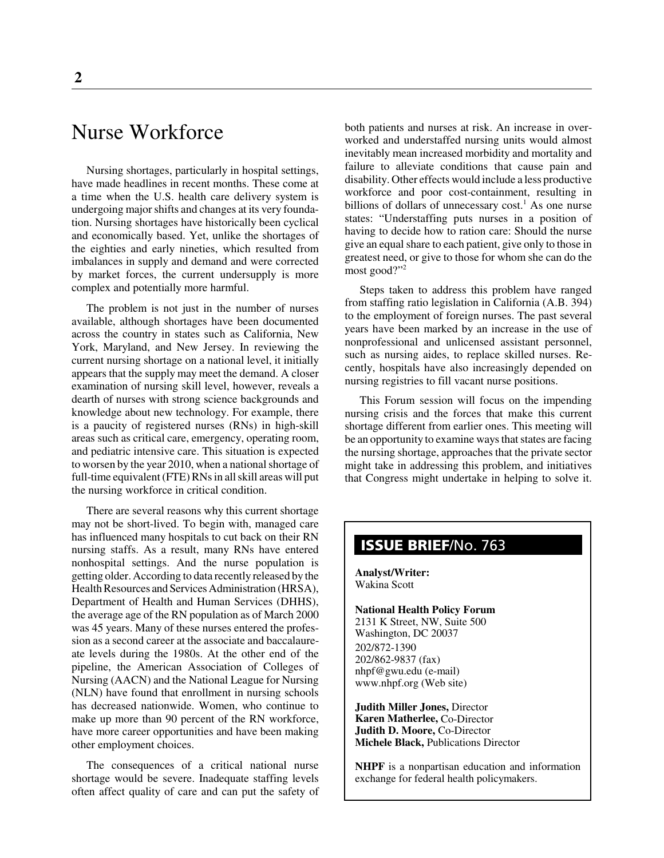### Nurse Workforce

Nursing shortages, particularly in hospital settings, have made headlines in recent months. These come at a time when the U.S. health care delivery system is undergoing major shifts and changes at its very foundation. Nursing shortages have historically been cyclical and economically based. Yet, unlike the shortages of the eighties and early nineties, which resulted from imbalances in supply and demand and were corrected by market forces, the current undersupply is more complex and potentially more harmful.

The problem is not just in the number of nurses available, although shortages have been documented across the country in states such as California, New York, Maryland, and New Jersey. In reviewing the current nursing shortage on a national level, it initially appears that the supply may meet the demand. A closer examination of nursing skill level, however, reveals a dearth of nurses with strong science backgrounds and knowledge about new technology. For example, there is a paucity of registered nurses (RNs) in high-skill areas such as critical care, emergency, operating room, and pediatric intensive care. This situation is expected to worsen by the year 2010, when a national shortage of full-time equivalent (FTE) RNs in all skill areas will put the nursing workforce in critical condition.

There are several reasons why this current shortage may not be short-lived. To begin with, managed care has influenced many hospitals to cut back on their RN nursing staffs. As a result, many RNs have entered nonhospital settings. And the nurse population is getting older. According to data recently released by the Health Resources and Services Administration (HRSA), Department of Health and Human Services (DHHS), the average age of the RN population as of March 2000 was 45 years. Many of these nurses entered the profession as a second career at the associate and baccalaureate levels during the 1980s. At the other end of the pipeline, the American Association of Colleges of Nursing (AACN) and the National League for Nursing (NLN) have found that enrollment in nursing schools has decreased nationwide. Women, who continue to make up more than 90 percent of the RN workforce, have more career opportunities and have been making other employment choices.

The consequences of a critical national nurse shortage would be severe. Inadequate staffing levels often affect quality of care and can put the safety of

both patients and nurses at risk. An increase in overworked and understaffed nursing units would almost inevitably mean increased morbidity and mortality and failure to alleviate conditions that cause pain and disability. Other effects would include a less productive workforce and poor cost-containment, resulting in billions of dollars of unnecessary cost.<sup>1</sup> As one nurse states: "Understaffing puts nurses in a position of having to decide how to ration care: Should the nurse give an equal share to each patient, give only to those in greatest need, or give to those for whom she can do the most good?"<sup>2</sup>

Steps taken to address this problem have ranged from staffing ratio legislation in California (A.B. 394) to the employment of foreign nurses. The past several years have been marked by an increase in the use of nonprofessional and unlicensed assistant personnel, such as nursing aides, to replace skilled nurses. Recently, hospitals have also increasingly depended on nursing registries to fill vacant nurse positions.

This Forum session will focus on the impending nursing crisis and the forces that make this current shortage different from earlier ones. This meeting will be an opportunity to examine ways that states are facing the nursing shortage, approaches that the private sector might take in addressing this problem, and initiatives that Congress might undertake in helping to solve it.

#### **ISSUE BRIEF**/No. 763

**Analyst/Writer:** Wakina Scott

**National Health Policy Forum** 2131 K Street, NW, Suite 500 Washington, DC 20037 202/872-1390 202/862-9837 (fax) nhpf@gwu.edu (e-mail) www.nhpf.org (Web site)

**Judith Miller Jones,** Director **Karen Matherlee,** Co-Director **Judith D. Moore,** Co-Director **Michele Black,** Publications Director

**NHPF** is a nonpartisan education and information exchange for federal health policymakers.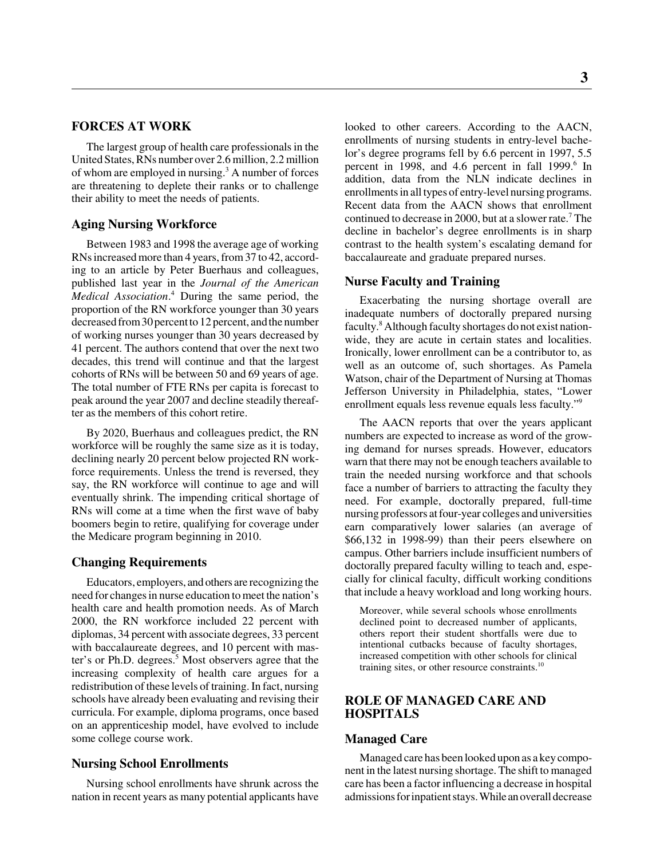#### **FORCES AT WORK**

The largest group of health care professionals in the United States, RNs number over 2.6 million, 2.2 million of whom are employed in nursing.<sup>3</sup> A number of forces are threatening to deplete their ranks or to challenge their ability to meet the needs of patients.

#### **Aging Nursing Workforce**

Between 1983 and 1998 the average age of working RNs increased more than 4 years, from 37 to 42, according to an article by Peter Buerhaus and colleagues, published last year in the *Journal of the American Medical Association*. 4 During the same period, the proportion of the RN workforce younger than 30 years decreased from 30 percent to 12 percent, and the number of working nurses younger than 30 years decreased by 41 percent. The authors contend that over the next two decades, this trend will continue and that the largest cohorts of RNs will be between 50 and 69 years of age. The total number of FTE RNs per capita is forecast to peak around the year 2007 and decline steadily thereafter as the members of this cohort retire.

By 2020, Buerhaus and colleagues predict, the RN workforce will be roughly the same size as it is today, declining nearly 20 percent below projected RN workforce requirements. Unless the trend is reversed, they say, the RN workforce will continue to age and will eventually shrink. The impending critical shortage of RNs will come at a time when the first wave of baby boomers begin to retire, qualifying for coverage under the Medicare program beginning in 2010.

#### **Changing Requirements**

Educators, employers, and others are recognizing the need for changes in nurse education to meet the nation's health care and health promotion needs. As of March 2000, the RN workforce included 22 percent with diplomas, 34 percent with associate degrees, 33 percent with baccalaureate degrees, and 10 percent with master's or Ph.D. degrees.<sup>5</sup> Most observers agree that the increasing complexity of health care argues for a redistribution of these levels of training. In fact, nursing schools have already been evaluating and revising their curricula. For example, diploma programs, once based on an apprenticeship model, have evolved to include some college course work.

#### **Nursing School Enrollments**

Nursing school enrollments have shrunk across the nation in recent years as many potential applicants have

looked to other careers. According to the AACN, enrollments of nursing students in entry-level bachelor's degree programs fell by 6.6 percent in 1997, 5.5 percent in 1998, and 4.6 percent in fall 1999.<sup>6</sup> In addition, data from the NLN indicate declines in enrollments in all types of entry-level nursing programs. Recent data from the AACN shows that enrollment continued to decrease in 2000, but at a slower rate.<sup>7</sup> The decline in bachelor's degree enrollments is in sharp contrast to the health system's escalating demand for baccalaureate and graduate prepared nurses.

#### **Nurse Faculty and Training**

Exacerbating the nursing shortage overall are inadequate numbers of doctorally prepared nursing faculty.<sup>8</sup> Although faculty shortages do not exist nationwide, they are acute in certain states and localities. Ironically, lower enrollment can be a contributor to, as well as an outcome of, such shortages. As Pamela Watson, chair of the Department of Nursing at Thomas Jefferson University in Philadelphia, states, "Lower enrollment equals less revenue equals less faculty."9

The AACN reports that over the years applicant numbers are expected to increase as word of the growing demand for nurses spreads. However, educators warn that there may not be enough teachers available to train the needed nursing workforce and that schools face a number of barriers to attracting the faculty they need. For example, doctorally prepared, full-time nursing professors at four-year colleges and universities earn comparatively lower salaries (an average of \$66,132 in 1998-99) than their peers elsewhere on campus. Other barriers include insufficient numbers of doctorally prepared faculty willing to teach and, especially for clinical faculty, difficult working conditions that include a heavy workload and long working hours.

Moreover, while several schools whose enrollments declined point to decreased number of applicants, others report their student shortfalls were due to intentional cutbacks because of faculty shortages, increased competition with other schools for clinical training sites, or other resource constraints.<sup>10</sup>

#### **ROLE OF MANAGED CARE AND HOSPITALS**

#### **Managed Care**

Managed care has been looked upon as a key component in the latest nursing shortage. The shift to managed care has been a factor influencing a decrease in hospital admissions for inpatient stays. While an overall decrease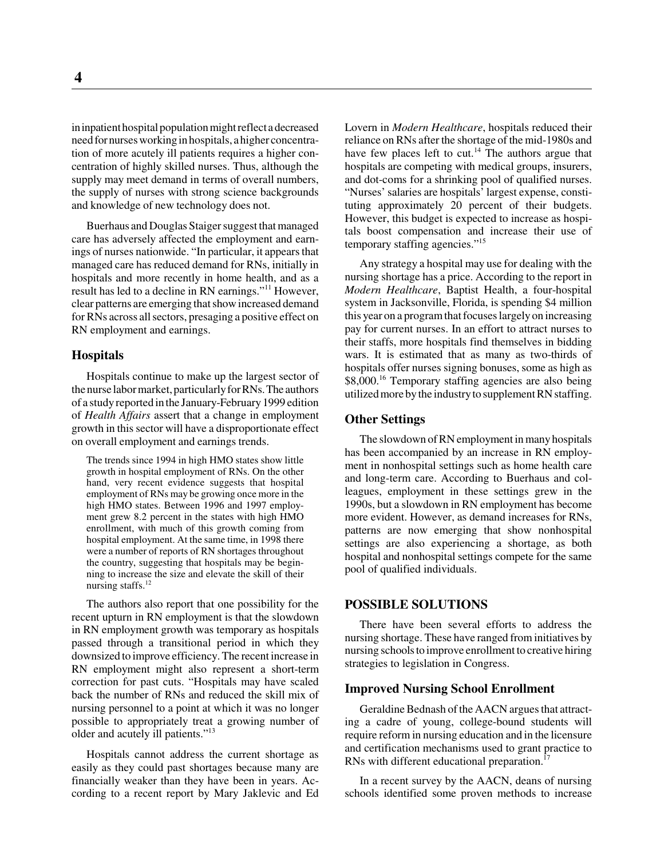in inpatient hospital population might reflect a decreased need for nurses working in hospitals, a higher concentration of more acutely ill patients requires a higher concentration of highly skilled nurses. Thus, although the supply may meet demand in terms of overall numbers, the supply of nurses with strong science backgrounds and knowledge of new technology does not.

Buerhaus and Douglas Staiger suggest that managed care has adversely affected the employment and earnings of nurses nationwide. "In particular, it appears that managed care has reduced demand for RNs, initially in hospitals and more recently in home health, and as a result has led to a decline in RN earnings."11 However, clear patterns are emerging that show increased demand for RNs across all sectors, presaging a positive effect on RN employment and earnings.

#### **Hospitals**

Hospitals continue to make up the largest sector of the nurse labor market, particularly for RNs. The authors of a study reported in the January-February 1999 edition of *Health Affairs* assert that a change in employment growth in this sector will have a disproportionate effect on overall employment and earnings trends.

The trends since 1994 in high HMO states show little growth in hospital employment of RNs. On the other hand, very recent evidence suggests that hospital employment of RNs may be growing once more in the high HMO states. Between 1996 and 1997 employment grew 8.2 percent in the states with high HMO enrollment, with much of this growth coming from hospital employment. At the same time, in 1998 there were a number of reports of RN shortages throughout the country, suggesting that hospitals may be beginning to increase the size and elevate the skill of their nursing staffs.<sup>12</sup>

The authors also report that one possibility for the recent upturn in RN employment is that the slowdown in RN employment growth was temporary as hospitals passed through a transitional period in which they downsized to improve efficiency. The recent increase in RN employment might also represent a short-term correction for past cuts. "Hospitals may have scaled back the number of RNs and reduced the skill mix of nursing personnel to a point at which it was no longer possible to appropriately treat a growing number of older and acutely ill patients."13

Hospitals cannot address the current shortage as easily as they could past shortages because many are financially weaker than they have been in years. According to a recent report by Mary Jaklevic and Ed Lovern in *Modern Healthcare*, hospitals reduced their reliance on RNs after the shortage of the mid-1980s and have few places left to cut.<sup>14</sup> The authors argue that hospitals are competing with medical groups, insurers, and dot-coms for a shrinking pool of qualified nurses. "Nurses' salaries are hospitals' largest expense, constituting approximately 20 percent of their budgets. However, this budget is expected to increase as hospitals boost compensation and increase their use of temporary staffing agencies."<sup>15</sup>

Any strategy a hospital may use for dealing with the nursing shortage has a price. According to the report in *Modern Healthcare*, Baptist Health, a four-hospital system in Jacksonville, Florida, is spending \$4 million this year on a program that focuses largely on increasing pay for current nurses. In an effort to attract nurses to their staffs, more hospitals find themselves in bidding wars. It is estimated that as many as two-thirds of hospitals offer nurses signing bonuses, some as high as \$8,000.<sup>16</sup> Temporary staffing agencies are also being utilized more by the industry to supplement RN staffing.

#### **Other Settings**

The slowdown of RN employment in many hospitals has been accompanied by an increase in RN employment in nonhospital settings such as home health care and long-term care. According to Buerhaus and colleagues, employment in these settings grew in the 1990s, but a slowdown in RN employment has become more evident. However, as demand increases for RNs, patterns are now emerging that show nonhospital settings are also experiencing a shortage, as both hospital and nonhospital settings compete for the same pool of qualified individuals.

#### **POSSIBLE SOLUTIONS**

There have been several efforts to address the nursing shortage. These have ranged from initiatives by nursing schools to improve enrollment to creative hiring strategies to legislation in Congress.

#### **Improved Nursing School Enrollment**

Geraldine Bednash of the AACN argues that attracting a cadre of young, college-bound students will require reform in nursing education and in the licensure and certification mechanisms used to grant practice to RNs with different educational preparation.<sup>17</sup>

In a recent survey by the AACN, deans of nursing schools identified some proven methods to increase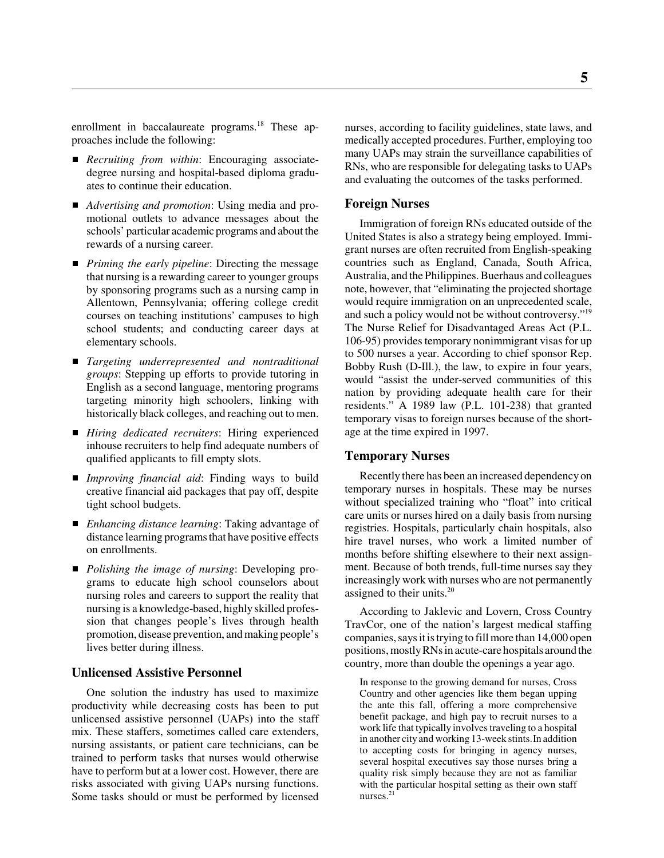enrollment in baccalaureate programs.<sup>18</sup> These approaches include the following:

- *Recruiting from within*: Encouraging associatedegree nursing and hospital-based diploma graduates to continue their education.
- *Advertising and promotion*: Using media and promotional outlets to advance messages about the schools' particular academic programs and about the rewards of a nursing career.
- *Priming the early pipeline*: Directing the message that nursing is a rewarding career to younger groups by sponsoring programs such as a nursing camp in Allentown, Pennsylvania; offering college credit courses on teaching institutions' campuses to high school students; and conducting career days at elementary schools.
- *Targeting underrepresented and nontraditional groups*: Stepping up efforts to provide tutoring in English as a second language, mentoring programs targeting minority high schoolers, linking with historically black colleges, and reaching out to men.
- *Hiring dedicated recruiters*: Hiring experienced inhouse recruiters to help find adequate numbers of qualified applicants to fill empty slots.
- *Improving financial aid*: Finding ways to build creative financial aid packages that pay off, despite tight school budgets.
- *Enhancing distance learning*: Taking advantage of distance learning programs that have positive effects on enrollments.
- *Polishing the image of nursing*: Developing programs to educate high school counselors about nursing roles and careers to support the reality that nursing is a knowledge-based, highly skilled profession that changes people's lives through health promotion, disease prevention, and making people's lives better during illness.

#### **Unlicensed Assistive Personnel**

One solution the industry has used to maximize productivity while decreasing costs has been to put unlicensed assistive personnel (UAPs) into the staff mix. These staffers, sometimes called care extenders, nursing assistants, or patient care technicians, can be trained to perform tasks that nurses would otherwise have to perform but at a lower cost. However, there are risks associated with giving UAPs nursing functions. Some tasks should or must be performed by licensed

nurses, according to facility guidelines, state laws, and medically accepted procedures. Further, employing too many UAPs may strain the surveillance capabilities of RNs, who are responsible for delegating tasks to UAPs and evaluating the outcomes of the tasks performed.

#### **Foreign Nurses**

Immigration of foreign RNs educated outside of the United States is also a strategy being employed. Immigrant nurses are often recruited from English-speaking countries such as England, Canada, South Africa, Australia, and the Philippines. Buerhaus and colleagues note, however, that "eliminating the projected shortage would require immigration on an unprecedented scale, and such a policy would not be without controversy."19 The Nurse Relief for Disadvantaged Areas Act (P.L. 106-95) provides temporary nonimmigrant visas for up to 500 nurses a year. According to chief sponsor Rep. Bobby Rush (D-Ill.), the law, to expire in four years, would "assist the under-served communities of this nation by providing adequate health care for their residents." A 1989 law (P.L. 101-238) that granted temporary visas to foreign nurses because of the shortage at the time expired in 1997.

#### **Temporary Nurses**

Recently there has been an increased dependency on temporary nurses in hospitals. These may be nurses without specialized training who "float" into critical care units or nurses hired on a daily basis from nursing registries. Hospitals, particularly chain hospitals, also hire travel nurses, who work a limited number of months before shifting elsewhere to their next assignment. Because of both trends, full-time nurses say they increasingly work with nurses who are not permanently assigned to their units. $20$ 

According to Jaklevic and Lovern, Cross Country TravCor, one of the nation's largest medical staffing companies, says it is trying to fill more than 14,000 open positions, mostly RNs in acute-care hospitals around the country, more than double the openings a year ago.

In response to the growing demand for nurses, Cross Country and other agencies like them began upping the ante this fall, offering a more comprehensive benefit package, and high pay to recruit nurses to a work life that typically involves traveling to a hospital in another city and working 13-week stints.In addition to accepting costs for bringing in agency nurses, several hospital executives say those nurses bring a quality risk simply because they are not as familiar with the particular hospital setting as their own staff nurses. $21$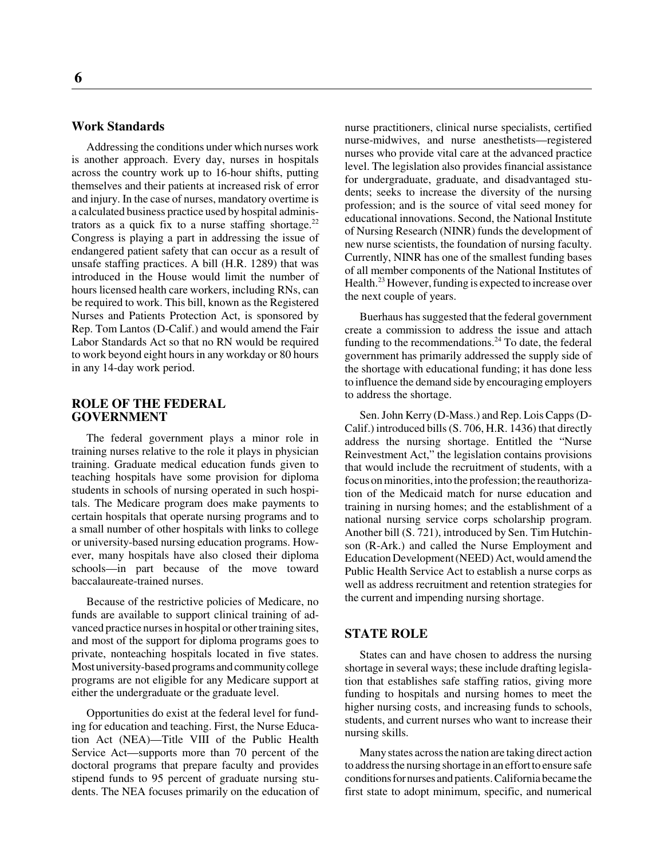#### **Work Standards**

Addressing the conditions under which nurses work is another approach. Every day, nurses in hospitals across the country work up to 16-hour shifts, putting themselves and their patients at increased risk of error and injury. In the case of nurses, mandatory overtime is a calculated business practice used by hospital administrators as a quick fix to a nurse staffing shortage.<sup>22</sup> Congress is playing a part in addressing the issue of endangered patient safety that can occur as a result of unsafe staffing practices. A bill (H.R. 1289) that was introduced in the House would limit the number of hours licensed health care workers, including RNs, can be required to work. This bill, known as the Registered Nurses and Patients Protection Act, is sponsored by Rep. Tom Lantos (D-Calif.) and would amend the Fair Labor Standards Act so that no RN would be required to work beyond eight hours in any workday or 80 hours in any 14-day work period.

#### **ROLE OF THE FEDERAL GOVERNMENT**

The federal government plays a minor role in training nurses relative to the role it plays in physician training. Graduate medical education funds given to teaching hospitals have some provision for diploma students in schools of nursing operated in such hospitals. The Medicare program does make payments to certain hospitals that operate nursing programs and to a small number of other hospitals with links to college or university-based nursing education programs. However, many hospitals have also closed their diploma schools—in part because of the move toward baccalaureate-trained nurses.

Because of the restrictive policies of Medicare, no funds are available to support clinical training of advanced practice nurses in hospital or other training sites, and most of the support for diploma programs goes to private, nonteaching hospitals located in five states. Most university-based programs and community college programs are not eligible for any Medicare support at either the undergraduate or the graduate level.

Opportunities do exist at the federal level for funding for education and teaching. First, the Nurse Education Act (NEA)—Title VIII of the Public Health Service Act—supports more than 70 percent of the doctoral programs that prepare faculty and provides stipend funds to 95 percent of graduate nursing students. The NEA focuses primarily on the education of nurse practitioners, clinical nurse specialists, certified nurse-midwives, and nurse anesthetists—registered nurses who provide vital care at the advanced practice level. The legislation also provides financial assistance for undergraduate, graduate, and disadvantaged students; seeks to increase the diversity of the nursing profession; and is the source of vital seed money for educational innovations. Second, the National Institute of Nursing Research (NINR) funds the development of new nurse scientists, the foundation of nursing faculty. Currently, NINR has one of the smallest funding bases of all member components of the National Institutes of Health.<sup>23</sup> However, funding is expected to increase over the next couple of years.

Buerhaus has suggested that the federal government create a commission to address the issue and attach funding to the recommendations.<sup>24</sup> To date, the federal government has primarily addressed the supply side of the shortage with educational funding; it has done less to influence the demand side by encouraging employers to address the shortage.

Sen. John Kerry (D-Mass.) and Rep. Lois Capps (D-Calif.) introduced bills (S. 706, H.R. 1436) that directly address the nursing shortage. Entitled the "Nurse Reinvestment Act," the legislation contains provisions that would include the recruitment of students, with a focus on minorities, into the profession; the reauthorization of the Medicaid match for nurse education and training in nursing homes; and the establishment of a national nursing service corps scholarship program. Another bill (S. 721), introduced by Sen. Tim Hutchinson (R-Ark.) and called the Nurse Employment and Education Development (NEED) Act, would amend the Public Health Service Act to establish a nurse corps as well as address recruitment and retention strategies for the current and impending nursing shortage.

#### **STATE ROLE**

States can and have chosen to address the nursing shortage in several ways; these include drafting legislation that establishes safe staffing ratios, giving more funding to hospitals and nursing homes to meet the higher nursing costs, and increasing funds to schools, students, and current nurses who want to increase their nursing skills.

Many states across the nation are taking direct action to address the nursing shortage in an effort to ensure safe conditions for nurses and patients. California became the first state to adopt minimum, specific, and numerical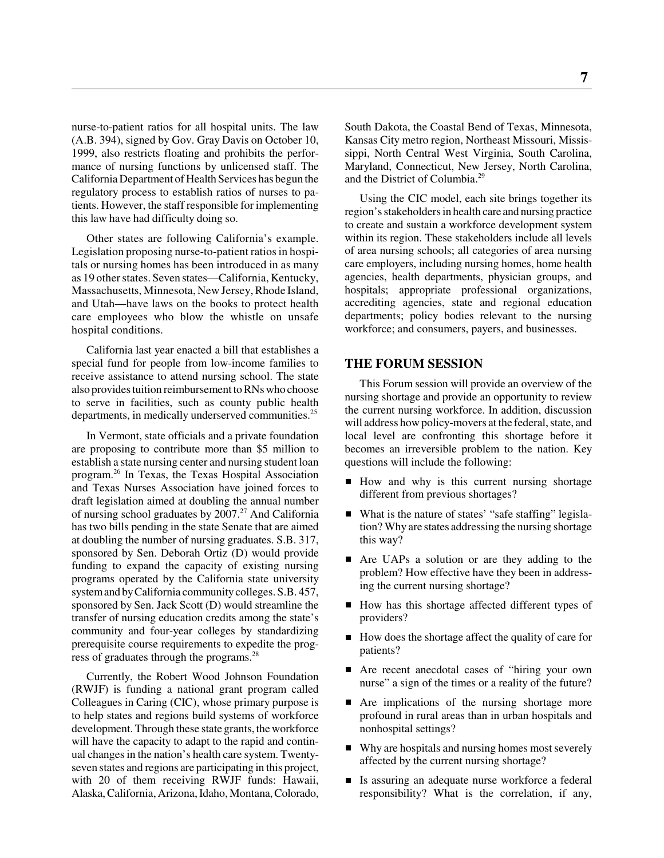nurse-to-patient ratios for all hospital units. The law (A.B. 394), signed by Gov. Gray Davis on October 10, 1999, also restricts floating and prohibits the performance of nursing functions by unlicensed staff. The California Department of Health Services has begun the regulatory process to establish ratios of nurses to patients. However, the staff responsible for implementing this law have had difficulty doing so.

Other states are following California's example. Legislation proposing nurse-to-patient ratios in hospitals or nursing homes has been introduced in as many as 19 other states. Seven states—California, Kentucky, Massachusetts, Minnesota, New Jersey, Rhode Island, and Utah—have laws on the books to protect health care employees who blow the whistle on unsafe hospital conditions.

California last year enacted a bill that establishes a special fund for people from low-income families to receive assistance to attend nursing school. The state also provides tuition reimbursement to RNs who choose to serve in facilities, such as county public health departments, in medically underserved communities.<sup>25</sup>

In Vermont, state officials and a private foundation are proposing to contribute more than \$5 million to establish a state nursing center and nursing student loan program.26 In Texas, the Texas Hospital Association and Texas Nurses Association have joined forces to draft legislation aimed at doubling the annual number of nursing school graduates by  $2007<sup>27</sup>$  And California has two bills pending in the state Senate that are aimed at doubling the number of nursing graduates. S.B. 317, sponsored by Sen. Deborah Ortiz (D) would provide funding to expand the capacity of existing nursing programs operated by the California state university system and by California community colleges. S.B. 457, sponsored by Sen. Jack Scott (D) would streamline the transfer of nursing education credits among the state's community and four-year colleges by standardizing prerequisite course requirements to expedite the progress of graduates through the programs.28

Currently, the Robert Wood Johnson Foundation (RWJF) is funding a national grant program called Colleagues in Caring (CIC), whose primary purpose is to help states and regions build systems of workforce development. Through these state grants, the workforce will have the capacity to adapt to the rapid and continual changes in the nation's health care system. Twentyseven states and regions are participating in this project, with 20 of them receiving RWJF funds: Hawaii, Alaska, California, Arizona, Idaho, Montana, Colorado,

South Dakota, the Coastal Bend of Texas, Minnesota, Kansas City metro region, Northeast Missouri, Mississippi, North Central West Virginia, South Carolina, Maryland, Connecticut, New Jersey, North Carolina, and the District of Columbia.29

Using the CIC model, each site brings together its region's stakeholders in health care and nursing practice to create and sustain a workforce development system within its region. These stakeholders include all levels of area nursing schools; all categories of area nursing care employers, including nursing homes, home health agencies, health departments, physician groups, and hospitals; appropriate professional organizations, accrediting agencies, state and regional education departments; policy bodies relevant to the nursing workforce; and consumers, payers, and businesses.

#### **THE FORUM SESSION**

This Forum session will provide an overview of the nursing shortage and provide an opportunity to review the current nursing workforce. In addition, discussion will address how policy-movers at the federal, state, and local level are confronting this shortage before it becomes an irreversible problem to the nation. Key questions will include the following:

- How and why is this current nursing shortage different from previous shortages?
- What is the nature of states' "safe staffing" legislation? Why are states addressing the nursing shortage this way?
- Are UAPs a solution or are they adding to the problem? How effective have they been in addressing the current nursing shortage?
- How has this shortage affected different types of providers?
- How does the shortage affect the quality of care for patients?
- Are recent anecdotal cases of "hiring your own nurse" a sign of the times or a reality of the future?
- **Are implications of the nursing shortage more** profound in rural areas than in urban hospitals and nonhospital settings?
- Why are hospitals and nursing homes most severely affected by the current nursing shortage?
- $\blacksquare$  Is assuring an adequate nurse workforce a federal responsibility? What is the correlation, if any,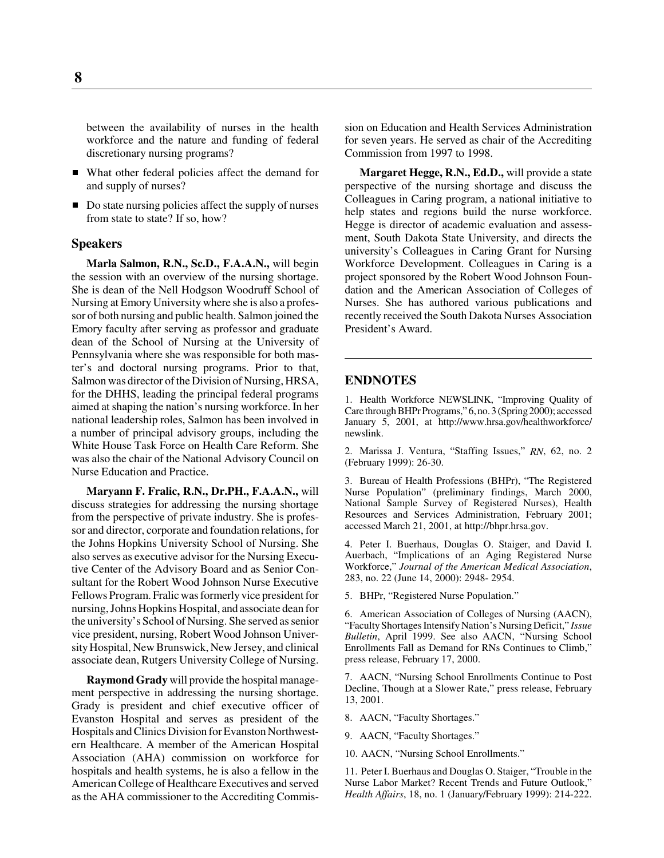between the availability of nurses in the health workforce and the nature and funding of federal discretionary nursing programs?

- What other federal policies affect the demand for and supply of nurses?
- Do state nursing policies affect the supply of nurses from state to state? If so, how?

#### **Speakers**

**Marla Salmon, R.N., Sc.D., F.A.A.N.,** will begin the session with an overview of the nursing shortage. She is dean of the Nell Hodgson Woodruff School of Nursing at Emory University where she is also a professor of both nursing and public health. Salmon joined the Emory faculty after serving as professor and graduate dean of the School of Nursing at the University of Pennsylvania where she was responsible for both master's and doctoral nursing programs. Prior to that, Salmon was director of the Division of Nursing, HRSA, for the DHHS, leading the principal federal programs aimed at shaping the nation's nursing workforce. In her national leadership roles, Salmon has been involved in a number of principal advisory groups, including the White House Task Force on Health Care Reform. She was also the chair of the National Advisory Council on Nurse Education and Practice.

**Maryann F. Fralic, R.N., Dr.PH., F.A.A.N.,** will discuss strategies for addressing the nursing shortage from the perspective of private industry. She is professor and director, corporate and foundation relations, for the Johns Hopkins University School of Nursing. She also serves as executive advisor for the Nursing Executive Center of the Advisory Board and as Senior Consultant for the Robert Wood Johnson Nurse Executive Fellows Program. Fralic was formerly vice president for nursing, Johns Hopkins Hospital, and associate dean for the university's School of Nursing. She served as senior vice president, nursing, Robert Wood Johnson University Hospital, New Brunswick, New Jersey, and clinical associate dean, Rutgers University College of Nursing.

**Raymond Grady** will provide the hospital management perspective in addressing the nursing shortage. Grady is president and chief executive officer of Evanston Hospital and serves as president of the Hospitals and Clinics Division for Evanston Northwestern Healthcare. A member of the American Hospital Association (AHA) commission on workforce for hospitals and health systems, he is also a fellow in the American College of Healthcare Executives and served as the AHA commissioner to the Accrediting Commission on Education and Health Services Administration for seven years. He served as chair of the Accrediting Commission from 1997 to 1998.

**Margaret Hegge, R.N., Ed.D.,** will provide a state perspective of the nursing shortage and discuss the Colleagues in Caring program, a national initiative to help states and regions build the nurse workforce. Hegge is director of academic evaluation and assessment, South Dakota State University, and directs the university's Colleagues in Caring Grant for Nursing Workforce Development. Colleagues in Caring is a project sponsored by the Robert Wood Johnson Foundation and the American Association of Colleges of Nurses. She has authored various publications and recently received the South Dakota Nurses Association President's Award.

#### **ENDNOTES**

1. Health Workforce NEWSLINK, "Improving Quality of Care through BHPr Programs," 6, no. 3 (Spring 2000); accessed January 5, 2001, at http://www.hrsa.gov/healthworkforce/ newslink.

2. Marissa J. Ventura, "Staffing Issues," *RN*, 62, no. 2 (February 1999): 26-30.

3. Bureau of Health Professions (BHPr), "The Registered Nurse Population" (preliminary findings, March 2000, National Sample Survey of Registered Nurses), Health Resources and Services Administration, February 2001; accessed March 21, 2001, at http://bhpr.hrsa.gov.

4. Peter I. Buerhaus, Douglas O. Staiger, and David I. Auerbach, "Implications of an Aging Registered Nurse Workforce," *Journal of the American Medical Association*, 283, no. 22 (June 14, 2000): 2948- 2954.

5. BHPr, "Registered Nurse Population."

6. American Association of Colleges of Nursing (AACN), "Faculty Shortages Intensify Nation's Nursing Deficit," *Issue Bulletin*, April 1999. See also AACN, "Nursing School Enrollments Fall as Demand for RNs Continues to Climb," press release, February 17, 2000.

7. AACN, "Nursing School Enrollments Continue to Post Decline, Though at a Slower Rate," press release, February 13, 2001.

- 8. AACN, "Faculty Shortages."
- 9. AACN, "Faculty Shortages."
- 10. AACN, "Nursing School Enrollments."

11. Peter I. Buerhaus and Douglas O. Staiger, "Trouble in the Nurse Labor Market? Recent Trends and Future Outlook," *Health Affairs*, 18, no. 1 (January/February 1999): 214-222.